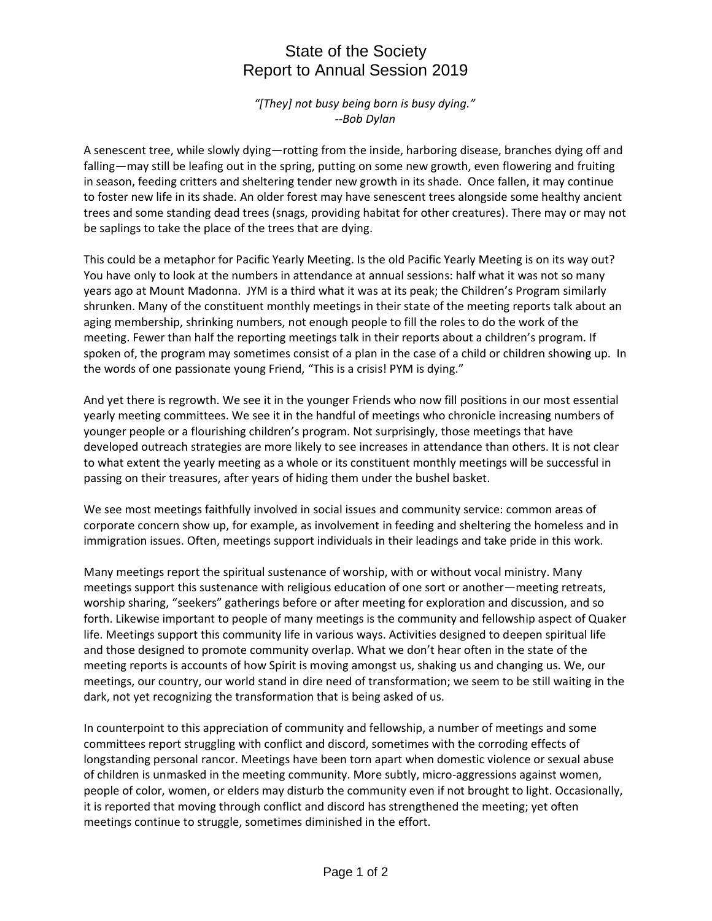## State of the Society Report to Annual Session 2019

*"[They] not busy being born is busy dying." --Bob Dylan*

A senescent tree, while slowly dying—rotting from the inside, harboring disease, branches dying off and falling—may still be leafing out in the spring, putting on some new growth, even flowering and fruiting in season, feeding critters and sheltering tender new growth in its shade. Once fallen, it may continue to foster new life in its shade. An older forest may have senescent trees alongside some healthy ancient trees and some standing dead trees (snags, providing habitat for other creatures). There may or may not be saplings to take the place of the trees that are dying.

This could be a metaphor for Pacific Yearly Meeting. Is the old Pacific Yearly Meeting is on its way out? You have only to look at the numbers in attendance at annual sessions: half what it was not so many years ago at Mount Madonna. JYM is a third what it was at its peak; the Children's Program similarly shrunken. Many of the constituent monthly meetings in their state of the meeting reports talk about an aging membership, shrinking numbers, not enough people to fill the roles to do the work of the meeting. Fewer than half the reporting meetings talk in their reports about a children's program. If spoken of, the program may sometimes consist of a plan in the case of a child or children showing up. In the words of one passionate young Friend, "This is a crisis! PYM is dying."

And yet there is regrowth. We see it in the younger Friends who now fill positions in our most essential yearly meeting committees. We see it in the handful of meetings who chronicle increasing numbers of younger people or a flourishing children's program. Not surprisingly, those meetings that have developed outreach strategies are more likely to see increases in attendance than others. It is not clear to what extent the yearly meeting as a whole or its constituent monthly meetings will be successful in passing on their treasures, after years of hiding them under the bushel basket.

We see most meetings faithfully involved in social issues and community service: common areas of corporate concern show up, for example, as involvement in feeding and sheltering the homeless and in immigration issues. Often, meetings support individuals in their leadings and take pride in this work.

Many meetings report the spiritual sustenance of worship, with or without vocal ministry. Many meetings support this sustenance with religious education of one sort or another—meeting retreats, worship sharing, "seekers" gatherings before or after meeting for exploration and discussion, and so forth. Likewise important to people of many meetings is the community and fellowship aspect of Quaker life. Meetings support this community life in various ways. Activities designed to deepen spiritual life and those designed to promote community overlap. What we don't hear often in the state of the meeting reports is accounts of how Spirit is moving amongst us, shaking us and changing us. We, our meetings, our country, our world stand in dire need of transformation; we seem to be still waiting in the dark, not yet recognizing the transformation that is being asked of us.

In counterpoint to this appreciation of community and fellowship, a number of meetings and some committees report struggling with conflict and discord, sometimes with the corroding effects of longstanding personal rancor. Meetings have been torn apart when domestic violence or sexual abuse of children is unmasked in the meeting community. More subtly, micro-aggressions against women, people of color, women, or elders may disturb the community even if not brought to light. Occasionally, it is reported that moving through conflict and discord has strengthened the meeting; yet often meetings continue to struggle, sometimes diminished in the effort.